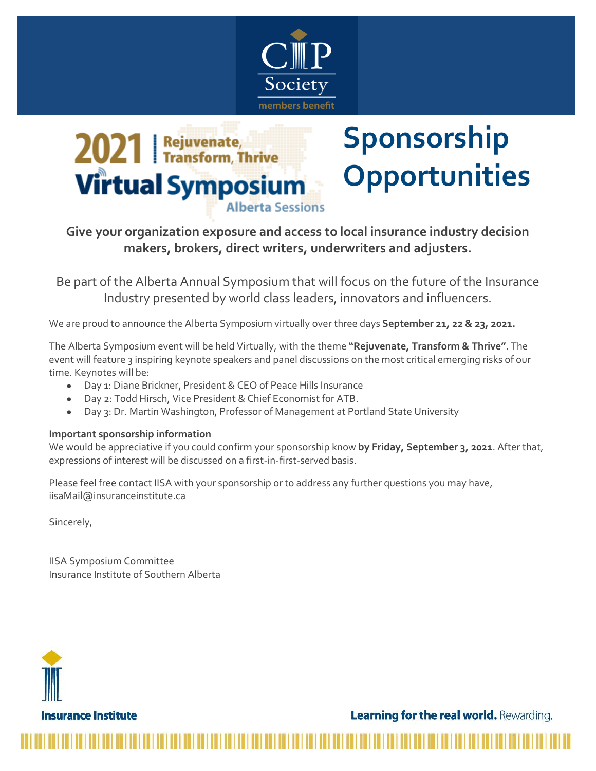



## **Sponsorship Opportunities**

## **Give your organization exposure and access to local insurance industry decision makers, brokers, direct writers, underwriters and adjusters.**

Be part of the Alberta Annual Symposium that will focus on the future of the Insurance Industry presented by world class leaders, innovators and influencers.

We are proud to announce the Alberta Symposium virtually over three days **September 21, 22 & 23, 2021.**

The Alberta Symposium event will be held Virtually, with the theme **"Rejuvenate, Transform & Thrive"**. The event will feature 3 inspiring keynote speakers and panel discussions on the most critical emerging risks of our time. Keynotes will be:

- Day 1: Diane Brickner, President & CEO of Peace Hills Insurance
- Day 2: Todd Hirsch, Vice President & Chief Economist for ATB.
- Day 3: Dr. Martin Washington, Professor of Management at Portland State University

## **Important sponsorship information**

We would be appreciative if you could confirm your sponsorship know **by Friday, September 3, 2021**. After that, expressions of interest will be discussed on a first-in-first-served basis.

Please feel free contact IISA with your sponsorship or to address any further questions you may have, iisaMail@insuranceinstitute.ca

Sincerely,

IISA Symposium Committee Insurance Institute of Southern Alberta



**Learning for the real world.** Rewarding.